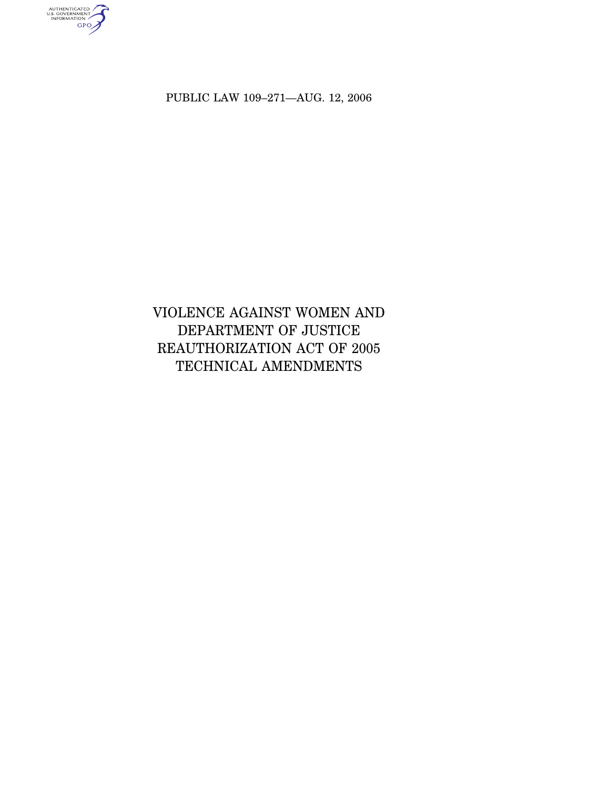authenticated<br>u.s. government<br>information<br>GPO

PUBLIC LAW 109–271—AUG. 12, 2006

# VIOLENCE AGAINST WOMEN AND DEPARTMENT OF JUSTICE REAUTHORIZATION ACT OF 2005 TECHNICAL AMENDMENTS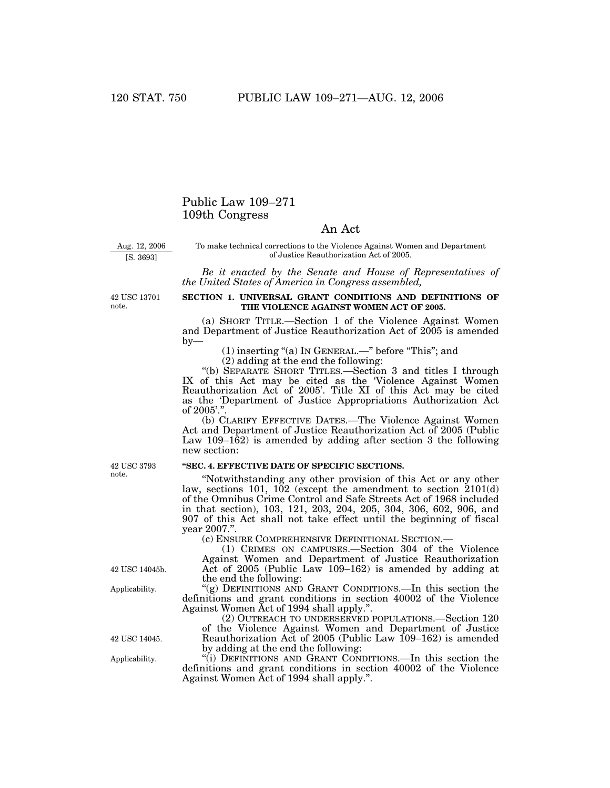## Public Law 109–271 109th Congress

## An Act

Aug. 12, 2006

[S. 3693]

To make technical corrections to the Violence Against Women and Department of Justice Reauthorization Act of 2005.

*Be it enacted by the Senate and House of Representatives of the United States of America in Congress assembled,*

42 USC 13701 note.

### **SECTION 1. UNIVERSAL GRANT CONDITIONS AND DEFINITIONS OF THE VIOLENCE AGAINST WOMEN ACT OF 2005.**

(a) SHORT TITLE.—Section 1 of the Violence Against Women and Department of Justice Reauthorization Act of 2005 is amended  $b$ v—

(1) inserting ''(a) IN GENERAL.—'' before ''This''; and

(2) adding at the end the following:

''(b) SEPARATE SHORT TITLES.—Section 3 and titles I through IX of this Act may be cited as the 'Violence Against Women Reauthorization Act of 2005'. Title XI of this Act may be cited as the 'Department of Justice Appropriations Authorization Act of 2005'.''.

(b) CLARIFY EFFECTIVE DATES.—The Violence Against Women Act and Department of Justice Reauthorization Act of 2005 (Public Law 109–162) is amended by adding after section 3 the following new section:

### **''SEC. 4. EFFECTIVE DATE OF SPECIFIC SECTIONS.**

''Notwithstanding any other provision of this Act or any other law, sections 101, 102 (except the amendment to section 2101(d) of the Omnibus Crime Control and Safe Streets Act of 1968 included in that section), 103, 121, 203, 204, 205, 304, 306, 602, 906, and 907 of this Act shall not take effect until the beginning of fiscal vear 2007."

(c) ENSURE COMPREHENSIVE DEFINITIONAL SECTION.—

(1) CRIMES ON CAMPUSES.—Section 304 of the Violence Against Women and Department of Justice Reauthorization Act of 2005 (Public Law 109–162) is amended by adding at the end the following:

"(g) DEFINITIONS AND GRANT CONDITIONS.—In this section the definitions and grant conditions in section 40002 of the Violence Against Women Act of 1994 shall apply.''.

(2) OUTREACH TO UNDERSERVED POPULATIONS.—Section 120 of the Violence Against Women and Department of Justice Reauthorization Act of 2005 (Public Law 109–162) is amended by adding at the end the following:

''(i) DEFINITIONS AND GRANT CONDITIONS.—In this section the definitions and grant conditions in section 40002 of the Violence Against Women Act of 1994 shall apply.''.

42 USC 3793 note.

42 USC 14045b.

Applicability.

42 USC 14045.

Applicability.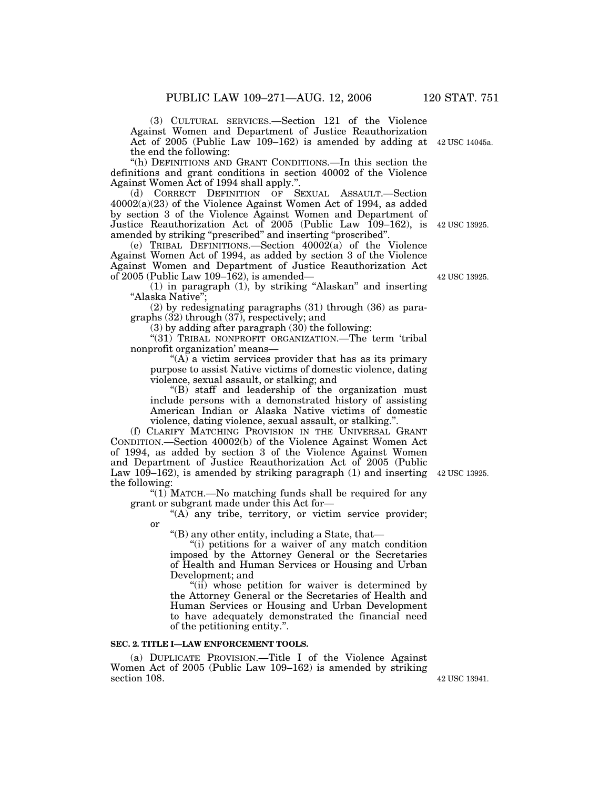(3) CULTURAL SERVICES.—Section 121 of the Violence Against Women and Department of Justice Reauthorization Act of 2005 (Public Law 109–162) is amended by adding at the end the following: 42 USC 14045a.

''(h) DEFINITIONS AND GRANT CONDITIONS.—In this section the definitions and grant conditions in section 40002 of the Violence Against Women Act of 1994 shall apply.''.

(d) CORRECT DEFINITION OF SEXUAL ASSAULT.—Section 40002(a)(23) of the Violence Against Women Act of 1994, as added by section 3 of the Violence Against Women and Department of Justice Reauthorization Act of 2005 (Public Law 109–162), is amended by striking ''prescribed'' and inserting ''proscribed''. 42 USC 13925.

(e) TRIBAL DEFINITIONS.—Section 40002(a) of the Violence Against Women Act of 1994, as added by section 3 of the Violence Against Women and Department of Justice Reauthorization Act of 2005 (Public Law 109–162), is amended—

(1) in paragraph (1), by striking ''Alaskan'' and inserting "Alaska Native";

(2) by redesignating paragraphs (31) through (36) as paragraphs (32) through (37), respectively; and

(3) by adding after paragraph (30) the following:

"(31) TRIBAL NONPROFIT ORGANIZATION.—The term 'tribal nonprofit organization' means—

 $f(A)$  a victim services provider that has as its primary purpose to assist Native victims of domestic violence, dating violence, sexual assault, or stalking; and

''(B) staff and leadership of the organization must include persons with a demonstrated history of assisting American Indian or Alaska Native victims of domestic violence, dating violence, sexual assault, or stalking.''.

(f) CLARIFY MATCHING PROVISION IN THE UNIVERSAL GRANT CONDITION.—Section 40002(b) of the Violence Against Women Act of 1994, as added by section 3 of the Violence Against Women and Department of Justice Reauthorization Act of 2005 (Public Law 109–162), is amended by striking paragraph (1) and inserting 42 USC 13925. the following:

"(1) MATCH.—No matching funds shall be required for any grant or subgrant made under this Act for—

"(A) any tribe, territory, or victim service provider; or

''(B) any other entity, including a State, that—

"(i) petitions for a waiver of any match condition imposed by the Attorney General or the Secretaries of Health and Human Services or Housing and Urban Development; and

"(ii) whose petition for waiver is determined by the Attorney General or the Secretaries of Health and Human Services or Housing and Urban Development to have adequately demonstrated the financial need of the petitioning entity.''.

### **SEC. 2. TITLE I—LAW ENFORCEMENT TOOLS.**

(a) DUPLICATE PROVISION.—Title I of the Violence Against Women Act of 2005 (Public Law 109–162) is amended by striking section 108. 42 USC 13941.

42 USC 13925.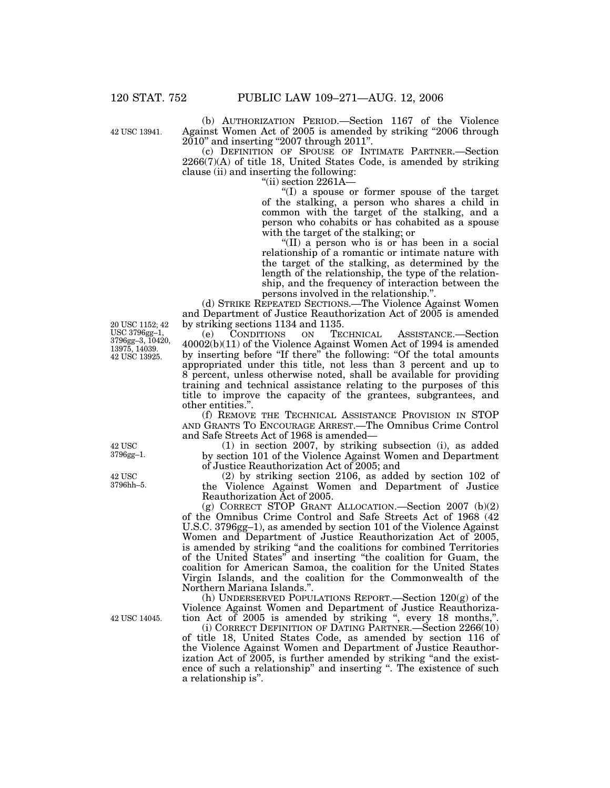42 USC 13941.

(b) AUTHORIZATION PERIOD.—Section 1167 of the Violence Against Women Act of 2005 is amended by striking ''2006 through 2010'' and inserting ''2007 through 2011''.

(c) DEFINITION OF SPOUSE OF INTIMATE PARTNER.—Section 2266(7)(A) of title 18, United States Code, is amended by striking clause (ii) and inserting the following:

''(ii) section 2261A—

''(I) a spouse or former spouse of the target of the stalking, a person who shares a child in common with the target of the stalking, and a person who cohabits or has cohabited as a spouse with the target of the stalking; or

''(II) a person who is or has been in a social relationship of a romantic or intimate nature with the target of the stalking, as determined by the length of the relationship, the type of the relationship, and the frequency of interaction between the persons involved in the relationship.''.

(d) STRIKE REPEATED SECTIONS.—The Violence Against Women and Department of Justice Reauthorization Act of 2005 is amended by striking sections 1134 and 1135.<br>
(e) CONDITIONS ON TECHNICAL

(e) CONDITIONS ON TECHNICAL ASSISTANCE.—Section 40002(b)(11) of the Violence Against Women Act of 1994 is amended by inserting before "If there" the following: "Of the total amounts appropriated under this title, not less than 3 percent and up to 8 percent, unless otherwise noted, shall be available for providing training and technical assistance relating to the purposes of this title to improve the capacity of the grantees, subgrantees, and other entities.''.

(f) REMOVE THE TECHNICAL ASSISTANCE PROVISION IN STOP AND GRANTS TO ENCOURAGE ARREST.—The Omnibus Crime Control and Safe Streets Act of 1968 is amended—

(1) in section 2007, by striking subsection (i), as added by section 101 of the Violence Against Women and Department of Justice Reauthorization Act of 2005; and

(2) by striking section 2106, as added by section 102 of the Violence Against Women and Department of Justice Reauthorization Act of 2005.

(g) CORRECT STOP GRANT ALLOCATION.—Section 2007 (b)(2) of the Omnibus Crime Control and Safe Streets Act of 1968 (42 U.S.C. 3796gg–1), as amended by section 101 of the Violence Against Women and Department of Justice Reauthorization Act of 2005, is amended by striking "and the coalitions for combined Territories of the United States'' and inserting ''the coalition for Guam, the coalition for American Samoa, the coalition for the United States Virgin Islands, and the coalition for the Commonwealth of the Northern Mariana Islands.''.

(h) UNDERSERVED POPULATIONS REPORT.—Section 120(g) of the Violence Against Women and Department of Justice Reauthorization Act of 2005 is amended by striking ", every 18 months,".

(i) CORRECT DEFINITION OF DATING PARTNER.—Section 2266(10) of title 18, United States Code, as amended by section 116 of the Violence Against Women and Department of Justice Reauthorization Act of 2005, is further amended by striking "and the existence of such a relationship" and inserting ". The existence of such a relationship is''.

20 USC 1152; 42 USC 3796gg–1, 3796gg–3, 10420, 13975, 14039. 42 USC 13925.

42 USC 3796gg–1.

42 USC 3796hh–5.

42 USC 14045.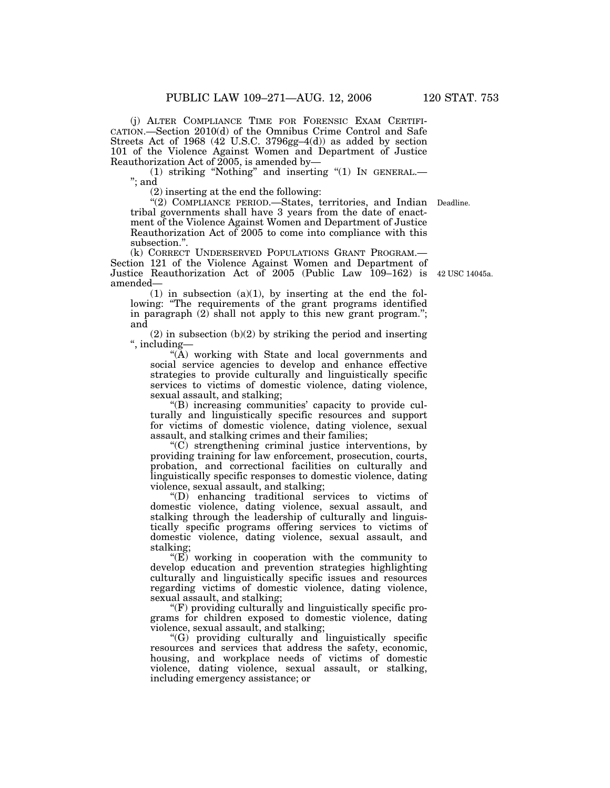(j) ALTER COMPLIANCE TIME FOR FORENSIC EXAM CERTIFI-CATION.—Section 2010(d) of the Omnibus Crime Control and Safe Streets Act of 1968 (42 U.S.C. 3796gg–4(d)) as added by section 101 of the Violence Against Women and Department of Justice Reauthorization Act of 2005, is amended by—

(1) striking "Nothing" and inserting "(1) IN GENERAL.-''; and

(2) inserting at the end the following:

''(2) COMPLIANCE PERIOD.—States, territories, and Indian Deadline. tribal governments shall have 3 years from the date of enactment of the Violence Against Women and Department of Justice Reauthorization Act of  $2005$  to come into compliance with this subsection.''.

(k) CORRECT UNDERSERVED POPULATIONS GRANT PROGRAM.— Section 121 of the Violence Against Women and Department of Justice Reauthorization Act of 2005 (Public Law 109–162) is 42 USC 14045a. amended—

 $(1)$  in subsection  $(a)(1)$ , by inserting at the end the following: "The requirements of the grant programs identified in paragraph (2) shall not apply to this new grant program.''; and

 $(2)$  in subsection  $(b)(2)$  by striking the period and inserting '', including—

 $(A)$  working with State and local governments and social service agencies to develop and enhance effective strategies to provide culturally and linguistically specific services to victims of domestic violence, dating violence, sexual assault, and stalking;

''(B) increasing communities' capacity to provide culturally and linguistically specific resources and support for victims of domestic violence, dating violence, sexual assault, and stalking crimes and their families;

''(C) strengthening criminal justice interventions, by providing training for law enforcement, prosecution, courts, probation, and correctional facilities on culturally and linguistically specific responses to domestic violence, dating violence, sexual assault, and stalking;

''(D) enhancing traditional services to victims of domestic violence, dating violence, sexual assault, and stalking through the leadership of culturally and linguistically specific programs offering services to victims of domestic violence, dating violence, sexual assault, and stalking;

 $\sqrt{\text{E}}$  working in cooperation with the community to develop education and prevention strategies highlighting culturally and linguistically specific issues and resources regarding victims of domestic violence, dating violence, sexual assault, and stalking;

''(F) providing culturally and linguistically specific programs for children exposed to domestic violence, dating violence, sexual assault, and stalking;

''(G) providing culturally and linguistically specific resources and services that address the safety, economic, housing, and workplace needs of victims of domestic violence, dating violence, sexual assault, or stalking, including emergency assistance; or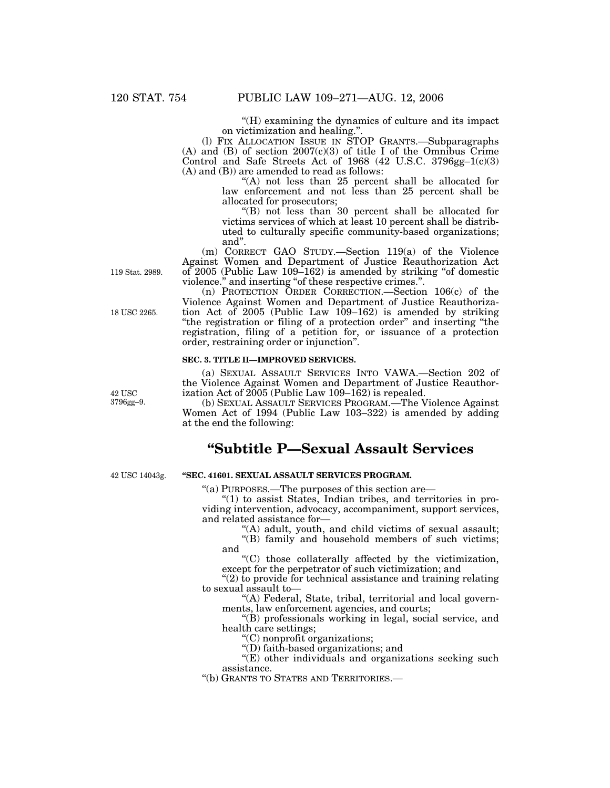''(H) examining the dynamics of culture and its impact on victimization and healing.''.

(l) FIX ALLOCATION ISSUE IN STOP GRANTS.—Subparagraphs (A) and (B) of section  $2007(c)(3)$  of title I of the Omnibus Crime Control and Safe Streets Act of 1968 (42 U.S.C. 3796gg–1(c)(3) (A) and (B)) are amended to read as follows:

"(A) not less than 25 percent shall be allocated for law enforcement and not less than 25 percent shall be allocated for prosecutors;

''(B) not less than 30 percent shall be allocated for victims services of which at least 10 percent shall be distributed to culturally specific community-based organizations; and''.

(m) CORRECT GAO STUDY.—Section 119(a) of the Violence Against Women and Department of Justice Reauthorization Act of 2005 (Public Law 109–162) is amended by striking ''of domestic violence.'' and inserting ''of these respective crimes.''.

(n) PROTECTION ORDER CORRECTION.—Section 106(c) of the Violence Against Women and Department of Justice Reauthorization Act of 2005 (Public Law 109–162) is amended by striking ''the registration or filing of a protection order'' and inserting ''the registration, filing of a petition for, or issuance of a protection order, restraining order or injunction''.

### **SEC. 3. TITLE II—IMPROVED SERVICES.**

(a) SEXUAL ASSAULT SERVICES INTO VAWA.—Section 202 of the Violence Against Women and Department of Justice Reauthorization Act of  $2005$  (Public Law  $109-162$ ) is repealed.

(b) SEXUAL ASSAULT SERVICES PROGRAM.—The Violence Against Women Act of 1994 (Public Law 103–322) is amended by adding at the end the following:

# **''Subtitle P—Sexual Assault Services**

42 USC 14043g.

### **''SEC. 41601. SEXUAL ASSAULT SERVICES PROGRAM.**

''(a) PURPOSES.—The purposes of this section are—

"(1) to assist States, Indian tribes, and territories in providing intervention, advocacy, accompaniment, support services, and related assistance for—

''(A) adult, youth, and child victims of sexual assault;

"(B) family and household members of such victims; and

''(C) those collaterally affected by the victimization, except for the perpetrator of such victimization; and

" $(2)$  to provide for technical assistance and training relating to sexual assault to—

''(A) Federal, State, tribal, territorial and local governments, law enforcement agencies, and courts;

''(B) professionals working in legal, social service, and health care settings;

''(C) nonprofit organizations;

''(D) faith-based organizations; and

"(E) other individuals and organizations seeking such assistance.

''(b) GRANTS TO STATES AND TERRITORIES.—

119 Stat. 2989.

18 USC 2265.

42 USC 3796gg–9.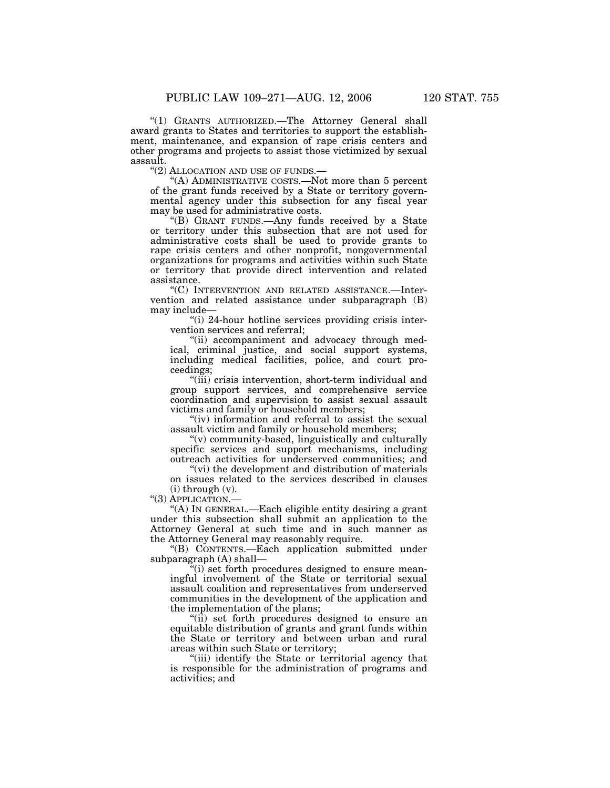"(1) GRANTS AUTHORIZED.—The Attorney General shall award grants to States and territories to support the establishment, maintenance, and expansion of rape crisis centers and other programs and projects to assist those victimized by sexual assault.<br>"(2) ALLOCATION AND USE OF FUNDS.-

"(A) ADMINISTRATIVE COSTS.—Not more than 5 percent of the grant funds received by a State or territory governmental agency under this subsection for any fiscal year may be used for administrative costs.

''(B) GRANT FUNDS.—Any funds received by a State or territory under this subsection that are not used for administrative costs shall be used to provide grants to rape crisis centers and other nonprofit, nongovernmental organizations for programs and activities within such State or territory that provide direct intervention and related assistance.

''(C) INTERVENTION AND RELATED ASSISTANCE.—Intervention and related assistance under subparagraph (B) may include—

''(i) 24-hour hotline services providing crisis intervention services and referral;

''(ii) accompaniment and advocacy through medical, criminal justice, and social support systems, including medical facilities, police, and court proceedings;

''(iii) crisis intervention, short-term individual and group support services, and comprehensive service coordination and supervision to assist sexual assault victims and family or household members;

"(iv) information and referral to assist the sexual assault victim and family or household members;

''(v) community-based, linguistically and culturally specific services and support mechanisms, including outreach activities for underserved communities; and

"(vi) the development and distribution of materials on issues related to the services described in clauses (i) through (v).

''(3) APPLICATION.—

''(A) IN GENERAL.—Each eligible entity desiring a grant under this subsection shall submit an application to the Attorney General at such time and in such manner as the Attorney General may reasonably require.

''(B) CONTENTS.—Each application submitted under subparagraph (A) shall—

 $f''(i)$  set forth procedures designed to ensure meaningful involvement of the State or territorial sexual assault coalition and representatives from underserved communities in the development of the application and the implementation of the plans;

''(ii) set forth procedures designed to ensure an equitable distribution of grants and grant funds within the State or territory and between urban and rural areas within such State or territory;

''(iii) identify the State or territorial agency that is responsible for the administration of programs and activities; and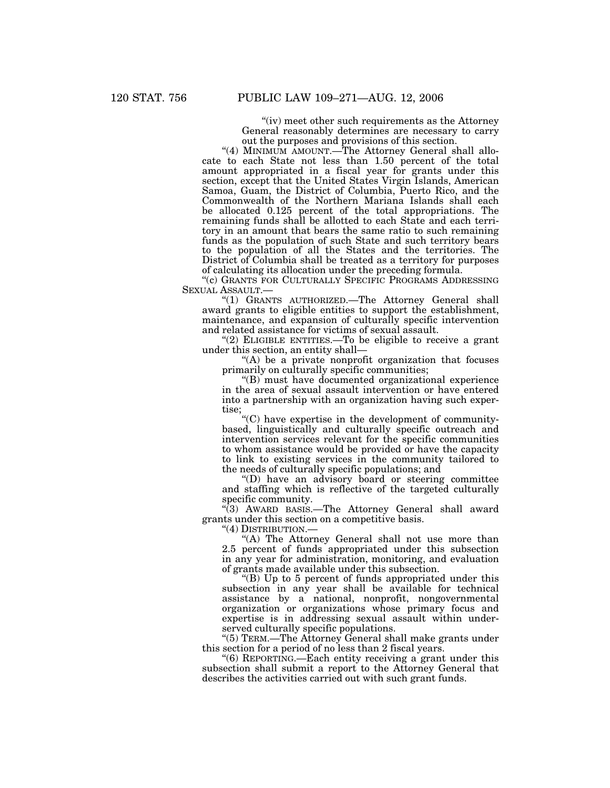"(iv) meet other such requirements as the Attorney" General reasonably determines are necessary to carry out the purposes and provisions of this section.

"(4) MINIMUM AMOUNT.—The Attorney General shall allocate to each State not less than 1.50 percent of the total amount appropriated in a fiscal year for grants under this section, except that the United States Virgin Islands, American Samoa, Guam, the District of Columbia, Puerto Rico, and the Commonwealth of the Northern Mariana Islands shall each be allocated 0.125 percent of the total appropriations. The remaining funds shall be allotted to each State and each territory in an amount that bears the same ratio to such remaining funds as the population of such State and such territory bears to the population of all the States and the territories. The District of Columbia shall be treated as a territory for purposes of calculating its allocation under the preceding formula.

''(c) GRANTS FOR CULTURALLY SPECIFIC PROGRAMS ADDRESSING SEXUAL ASSAULT.—

"(1) GRANTS AUTHORIZED. The Attorney General shall award grants to eligible entities to support the establishment, maintenance, and expansion of culturally specific intervention and related assistance for victims of sexual assault.

''(2) ELIGIBLE ENTITIES.—To be eligible to receive a grant under this section, an entity shall—

 $(A)$  be a private nonprofit organization that focuses primarily on culturally specific communities;

''(B) must have documented organizational experience in the area of sexual assault intervention or have entered into a partnership with an organization having such expertise;

''(C) have expertise in the development of communitybased, linguistically and culturally specific outreach and intervention services relevant for the specific communities to whom assistance would be provided or have the capacity to link to existing services in the community tailored to the needs of culturally specific populations; and

''(D) have an advisory board or steering committee and staffing which is reflective of the targeted culturally specific community.

''(3) AWARD BASIS.—The Attorney General shall award grants under this section on a competitive basis.

''(4) DISTRIBUTION.—

"(A) The Attorney General shall not use more than 2.5 percent of funds appropriated under this subsection in any year for administration, monitoring, and evaluation of grants made available under this subsection.

''(B) Up to 5 percent of funds appropriated under this subsection in any year shall be available for technical assistance by a national, nonprofit, nongovernmental organization or organizations whose primary focus and expertise is in addressing sexual assault within underserved culturally specific populations.

''(5) TERM.—The Attorney General shall make grants under this section for a period of no less than 2 fiscal years.

''(6) REPORTING.—Each entity receiving a grant under this subsection shall submit a report to the Attorney General that describes the activities carried out with such grant funds.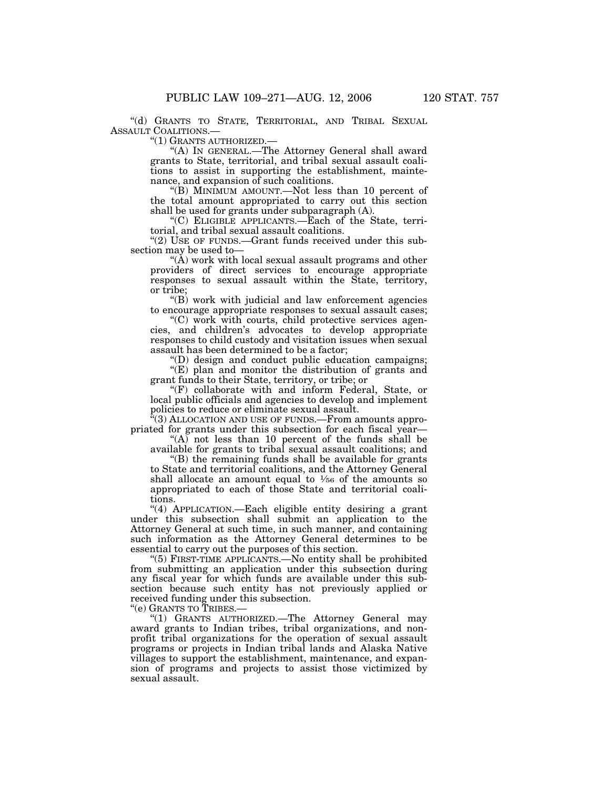"(d) GRANTS TO STATE, TERRITORIAL, AND TRIBAL SEXUAL ASSAULT COALITIONS.—

"(1) GRANTS AUTHORIZED.

''(A) IN GENERAL.—The Attorney General shall award grants to State, territorial, and tribal sexual assault coalitions to assist in supporting the establishment, maintenance, and expansion of such coalitions.

''(B) MINIMUM AMOUNT.—Not less than 10 percent of the total amount appropriated to carry out this section shall be used for grants under subparagraph (A).

''(C) ELIGIBLE APPLICANTS.—Each of the State, territorial, and tribal sexual assault coalitions.

"(2) USE OF FUNDS.—Grant funds received under this subsection may be used to—

" $(\tilde{A})$  work with local sexual assault programs and other providers of direct services to encourage appropriate responses to sexual assault within the State, territory, or tribe;

''(B) work with judicial and law enforcement agencies to encourage appropriate responses to sexual assault cases;

 $C$  work with courts, child protective services agencies, and children's advocates to develop appropriate responses to child custody and visitation issues when sexual assault has been determined to be a factor;

''(D) design and conduct public education campaigns;

"(E) plan and monitor the distribution of grants and grant funds to their State, territory, or tribe; or

''(F) collaborate with and inform Federal, State, or local public officials and agencies to develop and implement policies to reduce or eliminate sexual assault.

''(3) ALLOCATION AND USE OF FUNDS.—From amounts appropriated for grants under this subsection for each fiscal year—

" $(A)$  not less than 10 percent of the funds shall be available for grants to tribal sexual assault coalitions; and

''(B) the remaining funds shall be available for grants to State and territorial coalitions, and the Attorney General shall allocate an amount equal to  $\frac{1}{56}$  of the amounts so appropriated to each of those State and territorial coalitions.

''(4) APPLICATION.—Each eligible entity desiring a grant under this subsection shall submit an application to the Attorney General at such time, in such manner, and containing such information as the Attorney General determines to be essential to carry out the purposes of this section.

''(5) FIRST-TIME APPLICANTS.—No entity shall be prohibited from submitting an application under this subsection during any fiscal year for which funds are available under this subsection because such entity has not previously applied or received funding under this subsection.

''(e) GRANTS TO TRIBES.—

''(1) GRANTS AUTHORIZED.—The Attorney General may award grants to Indian tribes, tribal organizations, and nonprofit tribal organizations for the operation of sexual assault programs or projects in Indian tribal lands and Alaska Native villages to support the establishment, maintenance, and expansion of programs and projects to assist those victimized by sexual assault.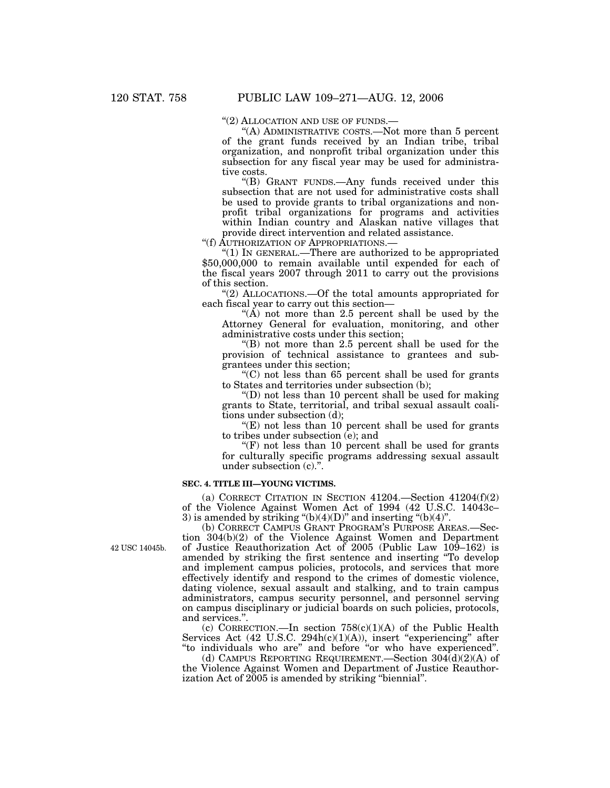"(2) ALLOCATION AND USE OF FUNDS.—

''(A) ADMINISTRATIVE COSTS.—Not more than 5 percent of the grant funds received by an Indian tribe, tribal organization, and nonprofit tribal organization under this subsection for any fiscal year may be used for administrative costs.

''(B) GRANT FUNDS.—Any funds received under this subsection that are not used for administrative costs shall be used to provide grants to tribal organizations and nonprofit tribal organizations for programs and activities within Indian country and Alaskan native villages that provide direct intervention and related assistance.

''(f) AUTHORIZATION OF APPROPRIATIONS.—

''(1) IN GENERAL.—There are authorized to be appropriated \$50,000,000 to remain available until expended for each of the fiscal years 2007 through 2011 to carry out the provisions of this section.

''(2) ALLOCATIONS.—Of the total amounts appropriated for each fiscal year to carry out this section—

" $(\tilde{A})$  not more than 2.5 percent shall be used by the Attorney General for evaluation, monitoring, and other administrative costs under this section;

''(B) not more than 2.5 percent shall be used for the provision of technical assistance to grantees and subgrantees under this section;

 $(C)$  not less than 65 percent shall be used for grants to States and territories under subsection (b);

''(D) not less than 10 percent shall be used for making grants to State, territorial, and tribal sexual assault coalitions under subsection (d);

''(E) not less than 10 percent shall be used for grants to tribes under subsection (e); and

 $f(F)$  not less than 10 percent shall be used for grants for culturally specific programs addressing sexual assault under subsection (c).".

### **SEC. 4. TITLE III—YOUNG VICTIMS.**

(a) CORRECT CITATION IN SECTION 41204.—Section 41204(f)(2) of the Violence Against Women Act of 1994 (42 U.S.C. 14043c– 3) is amended by striking " $(b)(4)(D)$ " and inserting " $(b)(4)$ ".

(b) CORRECT CAMPUS GRANT PROGRAM'S PURPOSE AREAS.—Section 304(b)(2) of the Violence Against Women and Department of Justice Reauthorization Act of 2005 (Public Law 109–162) is amended by striking the first sentence and inserting ''To develop and implement campus policies, protocols, and services that more effectively identify and respond to the crimes of domestic violence, dating violence, sexual assault and stalking, and to train campus administrators, campus security personnel, and personnel serving on campus disciplinary or judicial boards on such policies, protocols, and services.''.

(c) CORRECTION.—In section  $758(c)(1)(A)$  of the Public Health Services Act (42 U.S.C. 294h(c)(1)(A)), insert "experiencing" after ''to individuals who are'' and before ''or who have experienced''.

(d) CAMPUS REPORTING REQUIREMENT.—Section  $304\dot{d}d(2)(A)$  of the Violence Against Women and Department of Justice Reauthorization Act of 2005 is amended by striking "biennial".

42 USC 14045b.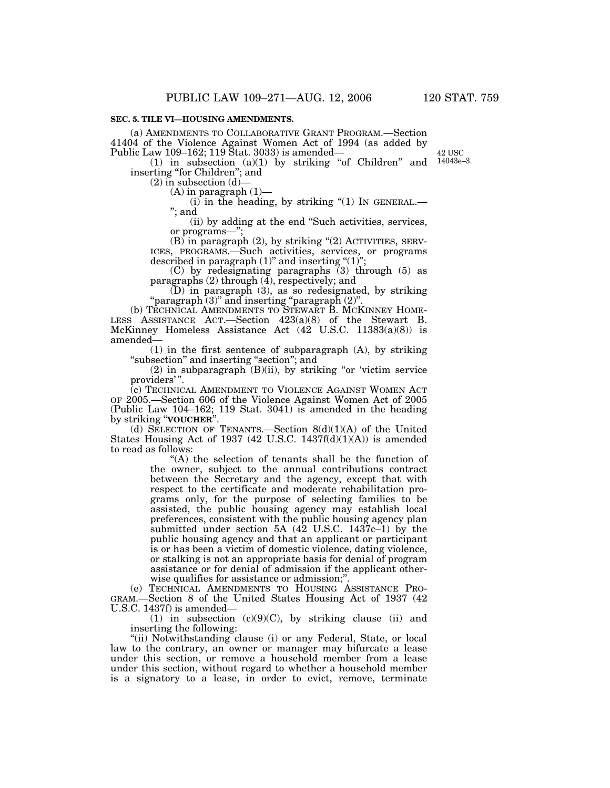(a) AMENDMENTS TO COLLABORATIVE GRANT PROGRAM.—Section 41404 of the Violence Against Women Act of 1994 (as added by Public Law 109–162; 119 Stat. 3033) is amended—

 $(1)$  in subsection  $(a)(1)$  by striking "of Children" and inserting ''for Children''; and

 $(2)$  in subsection  $(d)$ —

(A) in paragraph (1)—

(i) in the heading, by striking "(1) IN GENERAL.—<br>"; and

(ii) by adding at the end ''Such activities, services, or programs—

(B) in paragraph (2), by striking "(2) ACTIVITIES, SERVICES, PROGRAMS.—Such activities, services, or programs described in paragraph  $(1)$ " and inserting " $(1)$ "

(C) by redesignating paragraphs (3) through (5) as paragraphs (2) through (4), respectively; and

(D) in paragraph (3), as so redesignated, by striking ''paragraph (3)'' and inserting ''paragraph (2)''.

(b) TECHNICAL AMENDMENTS TO STEWART B. MCKINNEY HOME- LESS ASSISTANCE ACT.—Section 423(a)(8) of the Stewart B. McKinney Homeless Assistance Act (42 U.S.C. 11383(a)(8)) is amended—

(1) in the first sentence of subparagraph (A), by striking "subsection" and inserting "section"; and

 $(2)$  in subparagraph  $(B)(ii)$ , by striking "or 'victim service providers'".

(c) TECHNICAL AMENDMENT TO VIOLENCE AGAINST WOMEN ACT OF 2005.—Section 606 of the Violence Against Women Act of 2005 (Public Law 104–162; 119 Stat. 3041) is amended in the heading by striking ''**VOUCHER**''.

(d) SELECTION OF TENANTS.—Section 8(d)(1)(A) of the United States Housing Act of 1937 (42 U.S.C. 1437 $f(d)(1)(A)$ ) is amended to read as follows:

> ''(A) the selection of tenants shall be the function of the owner, subject to the annual contributions contract between the Secretary and the agency, except that with respect to the certificate and moderate rehabilitation programs only, for the purpose of selecting families to be assisted, the public housing agency may establish local preferences, consistent with the public housing agency plan submitted under section 5A  $(42 \text{ U.S.C. } 1437c-1)$  by the public housing agency and that an applicant or participant is or has been a victim of domestic violence, dating violence, or stalking is not an appropriate basis for denial of program assistance or for denial of admission if the applicant otherwise qualifies for assistance or admission;".

(e) TECHNICAL AMENDMENTS TO HOUSING ASSISTANCE PRO-GRAM.—Section 8 of the United States Housing Act of 1937 (42 U.S.C. 1437f) is amended—

(1) in subsection  $(c)(9)(C)$ , by striking clause (ii) and inserting the following:

''(ii) Notwithstanding clause (i) or any Federal, State, or local law to the contrary, an owner or manager may bifurcate a lease under this section, or remove a household member from a lease under this section, without regard to whether a household member is a signatory to a lease, in order to evict, remove, terminate

42 USC 14043e–3.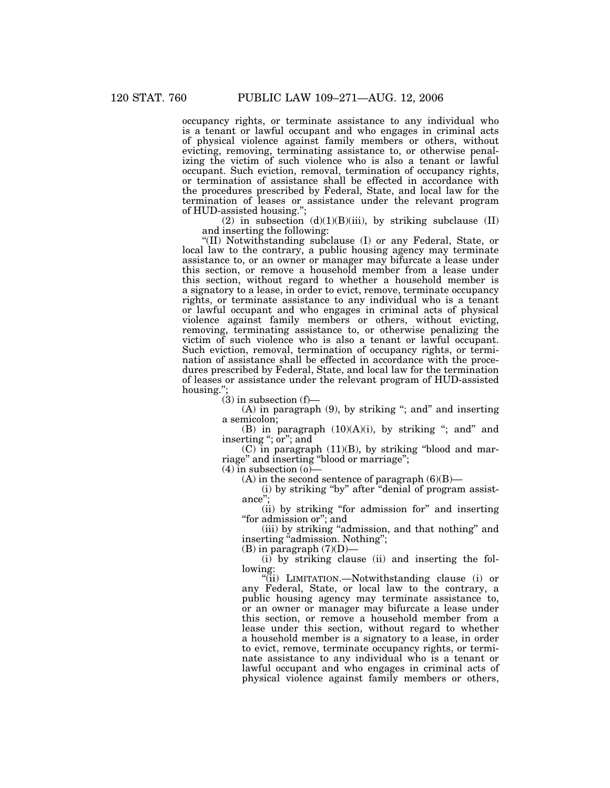occupancy rights, or terminate assistance to any individual who is a tenant or lawful occupant and who engages in criminal acts of physical violence against family members or others, without evicting, removing, terminating assistance to, or otherwise penalizing the victim of such violence who is also a tenant or lawful occupant. Such eviction, removal, termination of occupancy rights, or termination of assistance shall be effected in accordance with the procedures prescribed by Federal, State, and local law for the termination of leases or assistance under the relevant program of HUD-assisted housing.'';

(2) in subsection  $(d)(1)(B)(iii)$ , by striking subclause  $(II)$ and inserting the following:

''(II) Notwithstanding subclause (I) or any Federal, State, or local law to the contrary, a public housing agency may terminate assistance to, or an owner or manager may bifurcate a lease under this section, or remove a household member from a lease under this section, without regard to whether a household member is a signatory to a lease, in order to evict, remove, terminate occupancy rights, or terminate assistance to any individual who is a tenant or lawful occupant and who engages in criminal acts of physical violence against family members or others, without evicting, removing, terminating assistance to, or otherwise penalizing the victim of such violence who is also a tenant or lawful occupant. Such eviction, removal, termination of occupancy rights, or termination of assistance shall be effected in accordance with the procedures prescribed by Federal, State, and local law for the termination of leases or assistance under the relevant program of HUD-assisted housing.'

 $(3)$  in subsection  $(f)$ —

 $(A)$  in paragraph  $(9)$ , by striking "; and" and inserting a semicolon;

(B) in paragraph  $(10)(A)(i)$ , by striking "; and" and inserting "; or"; and

(C) in paragraph (11)(B), by striking ''blood and marriage'' and inserting ''blood or marriage'';

 $(4)$  in subsection  $(0)$ —

(A) in the second sentence of paragraph  $(6)(B)$ —

(i) by striking ''by'' after ''denial of program assistance'';

(ii) by striking ''for admission for'' and inserting ''for admission or''; and

(iii) by striking ''admission, and that nothing'' and inserting "admission. Nothing";

 $(B)$  in paragraph  $(7)(D)$ —

(i) by striking clause (ii) and inserting the following:

''(ii) LIMITATION.—Notwithstanding clause (i) or any Federal, State, or local law to the contrary, a public housing agency may terminate assistance to, or an owner or manager may bifurcate a lease under this section, or remove a household member from a lease under this section, without regard to whether a household member is a signatory to a lease, in order to evict, remove, terminate occupancy rights, or terminate assistance to any individual who is a tenant or lawful occupant and who engages in criminal acts of physical violence against family members or others,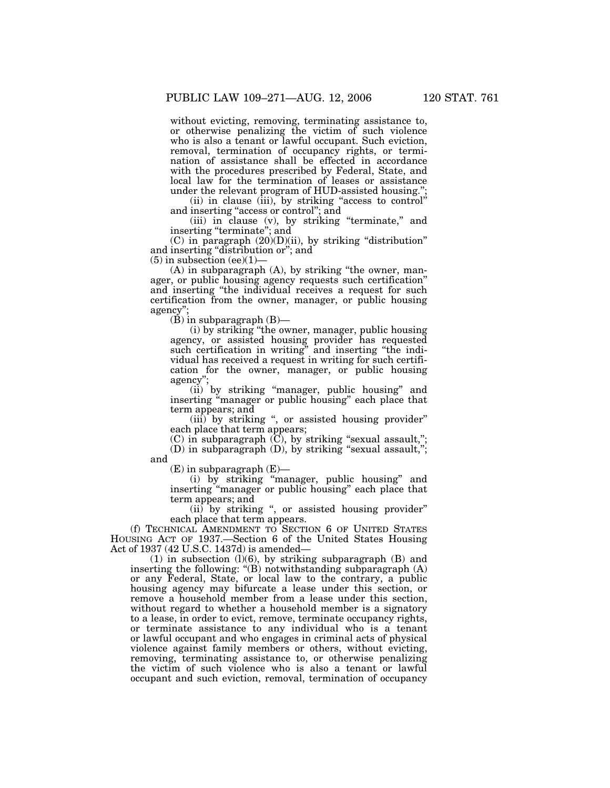without evicting, removing, terminating assistance to, or otherwise penalizing the victim of such violence who is also a tenant or lawful occupant. Such eviction, removal, termination of occupancy rights, or termination of assistance shall be effected in accordance with the procedures prescribed by Federal, State, and local law for the termination of leases or assistance under the relevant program of HUD-assisted housing."

(ii) in clause (iii), by striking "access to control" and inserting "access or control"; and

(iii) in clause (v), by striking ''terminate,'' and inserting "terminate"; and

 $(C)$  in paragraph  $(20)(D)(ii)$ , by striking "distribution" and inserting "distribution or"; and

 $(5)$  in subsection (ee) $(1)$ –

(A) in subparagraph (A), by striking ''the owner, manager, or public housing agency requests such certification'' and inserting ''the individual receives a request for such certification from the owner, manager, or public housing agency'';

(B) in subparagraph (B)—

(i) by striking ''the owner, manager, public housing agency, or assisted housing provider has requested such certification in writing'' and inserting ''the individual has received a request in writing for such certification for the owner, manager, or public housing agency'';

(ii) by striking ''manager, public housing'' and inserting ''manager or public housing'' each place that term appears; and

(iii) by striking ", or assisted housing provider" each place that term appears;

(C) in subparagraph  $(\overline{C})$ , by striking "sexual assault,"; (D) in subparagraph (D), by striking ''sexual assault,'';

and

 $(E)$  in subparagraph  $(E)$ —

(i) by striking ''manager, public housing'' and inserting ''manager or public housing'' each place that term appears; and

(ii) by striking ", or assisted housing provider" each place that term appears.

(f) TECHNICAL AMENDMENT TO SECTION 6 OF UNITED STATES HOUSING ACT OF 1937.—Section 6 of the United States Housing Act of 1937 (42 U.S.C. 1437d) is amended—

 $(1)$  in subsection  $(l)(6)$ , by striking subparagraph  $(B)$  and inserting the following: " $(B)$  notwithstanding subparagraph  $(A)$ or any Federal, State, or local law to the contrary, a public housing agency may bifurcate a lease under this section, or remove a household member from a lease under this section, without regard to whether a household member is a signatory to a lease, in order to evict, remove, terminate occupancy rights, or terminate assistance to any individual who is a tenant or lawful occupant and who engages in criminal acts of physical violence against family members or others, without evicting, removing, terminating assistance to, or otherwise penalizing the victim of such violence who is also a tenant or lawful occupant and such eviction, removal, termination of occupancy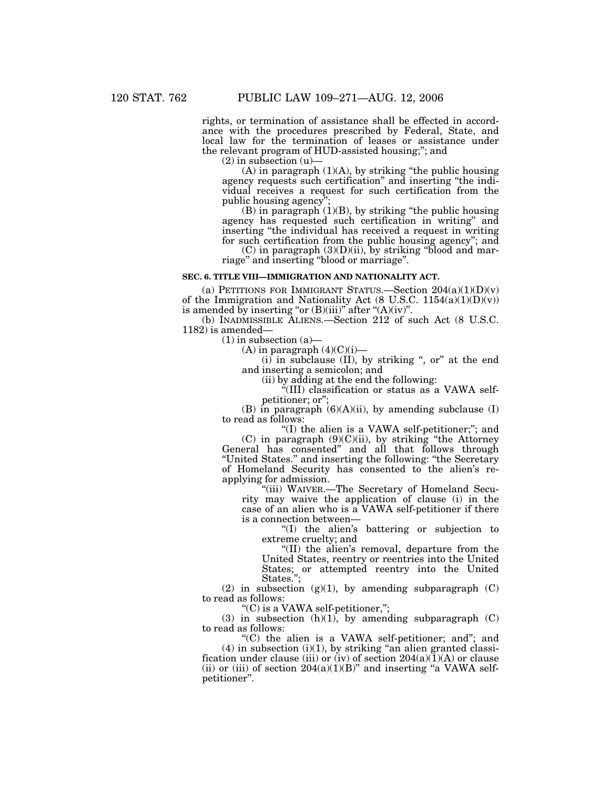rights, or termination of assistance shall be effected in accordance with the procedures prescribed by Federal, State, and local law for the termination of leases or assistance under the relevant program of HUD-assisted housing;''; and

 $(2)$  in subsection  $(u)$ 

 $(A)$  in paragraph  $(1)(A)$ , by striking "the public housing" agency requests such certification'' and inserting ''the individual receives a request for such certification from the public housing agency"

(B) in paragraph (1)(B), by striking ''the public housing agency has requested such certification in writing'' and inserting ''the individual has received a request in writing for such certification from the public housing agency''; and

 $(C)$  in paragraph  $(3)(D)(ii)$ , by striking "blood and marriage'' and inserting ''blood or marriage''.

### **SEC. 6. TITLE VIII—IMMIGRATION AND NATIONALITY ACT.**

(a) PETITIONS FOR IMMIGRANT STATUS.—Section  $204(a)(1)(D)(v)$ of the Immigration and Nationality Act (8 U.S.C. 1154(a)(1)(D)(v)) is amended by inserting "or  $(B)(iii)$ " after " $(A)(iv)$ ".

(b) INADMISSIBLE ALIENS.—Section 212 of such Act (8 U.S.C. 1182) is amended—

 $(1)$  in subsection  $(a)$ —

 $(A)$  in paragraph  $(4)(C)(i)$ —

 $(i)$  in subclause  $(II)$ , by striking ", or" at the end and inserting a semicolon; and

(ii) by adding at the end the following:

''(III) classification or status as a VAWA selfpetitioner; or'';

(B) in paragraph  $(6)(A)(ii)$ , by amending subclause (I) to read as follows:

"(I) the alien is a VAWA self-petitioner;"; and  $(C)$  in paragraph  $(9)(C)(ii)$ , by striking "the Attorney" General has consented" and all that follows through ''United States.'' and inserting the following: ''the Secretary of Homeland Security has consented to the alien's re-

applying for admission.

''(iii) WAIVER.—The Secretary of Homeland Security may waive the application of clause (i) in the case of an alien who is a VAWA self-petitioner if there is a connection between—

''(I) the alien's battering or subjection to extreme cruelty; and

''(II) the alien's removal, departure from the United States, reentry or reentries into the United States; or attempted reentry into the United States.'';

(2) in subsection  $(g)(1)$ , by amending subparagraph  $(C)$ to read as follows:

''(C) is a VAWA self-petitioner,'';

(3) in subsection  $(h)(1)$ , by amending subparagraph  $(C)$ to read as follows:

''(C) the alien is a VAWA self-petitioner; and''; and  $(4)$  in subsection  $(i)(1)$ , by striking "an alien granted classification under clause (iii) or (iv) of section  $204(a)(1)(A)$  or clause (ii) or (iii) of section  $204(a)(1)(B)$ " and inserting "a VAWA selfpetitioner''.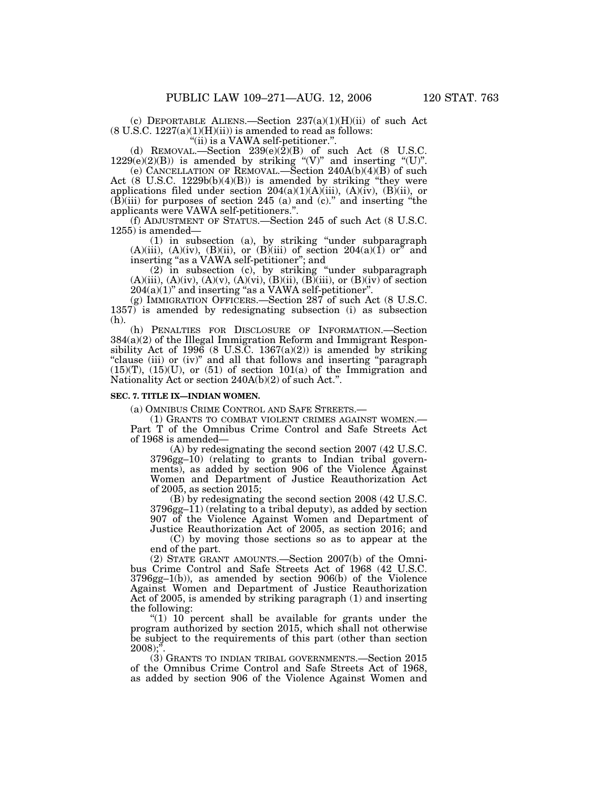(c) DEPORTABLE ALIENS.—Section  $237(a)(1)(H)(ii)$  of such Act  $(8 \text{ U.S.C. } 1227(a)(1)(H)(ii))$  is amended to read as follows:

''(ii) is a VAWA self-petitioner.''.

(d) REMOVAL.—Section  $239(e)(\bar{2})(B)$  of such Act (8 U.S.C.  $1229(e)(2)(B)$  is amended by striking "(V)" and inserting "(U)".

(e) CANCELLATION OF REMOVAL.—Section 240A(b)(4)(B) of such Act  $(8 \text{ U.S.C. } 1229b(b)(4)(B))$  is amended by striking "they were applications filed under section  $204(a)(1)(A)(iii)$ ,  $(A)(iv)$ ,  $(B)(ii)$ , or  $(B)(iii)$  for purposes of section 245 (a) and (c)." and inserting "the applicants were VAWA self-petitioners.''.

(f) ADJUSTMENT OF STATUS.—Section 245 of such Act (8 U.S.C. 1255) is amended—

(1) in subsection (a), by striking ''under subparagraph  $(A)(iii)$ ,  $(A)(iv)$ ,  $(B)(ii)$ , or  $(B)(iii)$  of section  $204(a)(1)$  or" and inserting "as a VAWA self-petitioner"; and

(2) in subsection (c), by striking ''under subparagraph  $(A)(iii)$ ,  $(A)(iv)$ ,  $(A)(v)$ ,  $(A)(vi)$ ,  $(B)(ii)$ ,  $(B)(iii)$ , or  $(B)(iv)$  of section  $204(a)(1)$ " and inserting "as a VAWA self-petitioner".

(g) IMMIGRATION OFFICERS.—Section 287 of such Act (8 U.S.C. 1357) is amended by redesignating subsection (i) as subsection (h).

(h) PENALTIES FOR DISCLOSURE OF INFORMATION.—Section 384(a)(2) of the Illegal Immigration Reform and Immigrant Responsibility Act of 1996 (8 U.S.C. 1367(a)(2)) is amended by striking "clause (iii) or (iv)" and all that follows and inserting "paragraph"  $(15)(T)$ ,  $(15)(U)$ , or  $(51)$  of section  $101(a)$  of the Immigration and Nationality Act or section 240A(b)(2) of such Act.''.

#### **SEC. 7. TITLE IX—INDIAN WOMEN.**

(a) OMNIBUS CRIME CONTROL AND SAFE STREETS.—

(1) GRANTS TO COMBAT VIOLENT CRIMES AGAINST WOMEN.— Part T of the Omnibus Crime Control and Safe Streets Act of 1968 is amended—

(A) by redesignating the second section 2007 (42 U.S.C. 3796gg–10) (relating to grants to Indian tribal governments), as added by section 906 of the Violence Against Women and Department of Justice Reauthorization Act of 2005, as section 2015;

(B) by redesignating the second section 2008 (42 U.S.C. 3796gg–11) (relating to a tribal deputy), as added by section 907 of the Violence Against Women and Department of Justice Reauthorization Act of 2005, as section 2016; and

(C) by moving those sections so as to appear at the end of the part.

(2) STATE GRANT AMOUNTS.—Section 2007(b) of the Omnibus Crime Control and Safe Streets Act of 1968 (42 U.S.C. 3796gg–1(b)), as amended by section 906(b) of the Violence Against Women and Department of Justice Reauthorization Act of 2005, is amended by striking paragraph (1) and inserting the following:

"(1)  $10$  percent shall be available for grants under the program authorized by section 2015, which shall not otherwise be subject to the requirements of this part (other than section  $2008$ );

(3) GRANTS TO INDIAN TRIBAL GOVERNMENTS.—Section 2015 of the Omnibus Crime Control and Safe Streets Act of 1968, as added by section 906 of the Violence Against Women and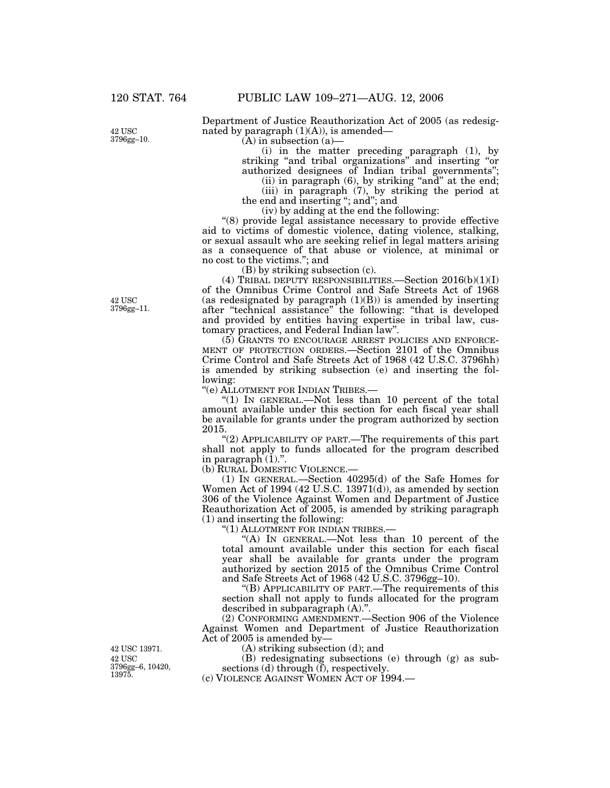42 USC 3796gg–10. Department of Justice Reauthorization Act of 2005 (as redesignated by paragraph  $(1)(A)$ , is amended—

 $(A)$  in subsection  $(a)$ —

(i) in the matter preceding paragraph (1), by striking ''and tribal organizations'' and inserting ''or authorized designees of Indian tribal governments'';

(ii) in paragraph  $(6)$ , by striking "and" at the end;

(iii) in paragraph (7), by striking the period at the end and inserting "; and"; and

(iv) by adding at the end the following:

''(8) provide legal assistance necessary to provide effective aid to victims of domestic violence, dating violence, stalking, or sexual assault who are seeking relief in legal matters arising as a consequence of that abuse or violence, at minimal or no cost to the victims.''; and

(B) by striking subsection (c).

(4) TRIBAL DEPUTY RESPONSIBILITIES. Section  $2016(b)(1)(I)$ of the Omnibus Crime Control and Safe Streets Act of 1968 (as redesignated by paragraph  $(1)(B)$ ) is amended by inserting after ''technical assistance'' the following: ''that is developed and provided by entities having expertise in tribal law, customary practices, and Federal Indian law''.

(5) GRANTS TO ENCOURAGE ARREST POLICIES AND ENFORCE-MENT OF PROTECTION ORDERS.—Section 2101 of the Omnibus Crime Control and Safe Streets Act of 1968 (42 U.S.C. 3796hh) is amended by striking subsection (e) and inserting the following:

''(e) ALLOTMENT FOR INDIAN TRIBES.—

''(1) IN GENERAL.—Not less than 10 percent of the total amount available under this section for each fiscal year shall be available for grants under the program authorized by section 2015.

''(2) APPLICABILITY OF PART.—The requirements of this part shall not apply to funds allocated for the program described in paragraph  $(1)$ .".

(b) RURAL DOMESTIC VIOLENCE.—

(1) IN GENERAL.—Section 40295(d) of the Safe Homes for Women Act of 1994 (42 U.S.C. 13971(d)), as amended by section 306 of the Violence Against Women and Department of Justice Reauthorization Act of 2005, is amended by striking paragraph (1) and inserting the following:

"(1) ALLOTMENT FOR INDIAN TRIBES.-

''(A) IN GENERAL.—Not less than 10 percent of the total amount available under this section for each fiscal year shall be available for grants under the program authorized by section 2015 of the Omnibus Crime Control and Safe Streets Act of 1968 (42 U.S.C. 3796gg–10).

''(B) APPLICABILITY OF PART.—The requirements of this section shall not apply to funds allocated for the program described in subparagraph (A).''.

(2) CONFORMING AMENDMENT.—Section 906 of the Violence Against Women and Department of Justice Reauthorization Act of 2005 is amended by—

(A) striking subsection (d); and

(B) redesignating subsections (e) through (g) as subsections (d) through  $(\bar{f})$ , respectively.

(c) VIOLENCE AGAINST WOMEN ACT OF 1994.—

42 USC 3796gg–11.

42 USC 3796gg–6, 10420, 13975. 42 USC 13971.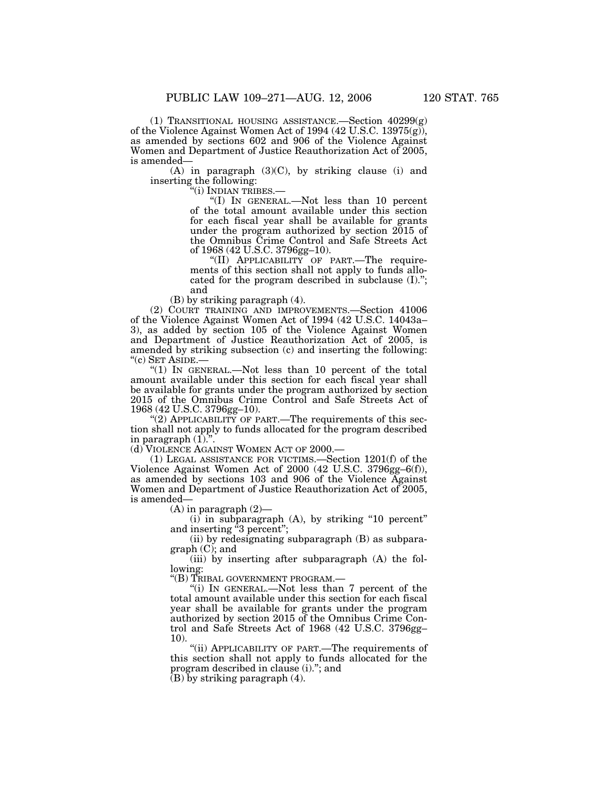(1) TRANSITIONAL HOUSING ASSISTANCE.—Section 40299(g) of the Violence Against Women Act of 1994 (42 U.S.C. 13975(g)), as amended by sections 602 and 906 of the Violence Against Women and Department of Justice Reauthorization Act of 2005, is amended—

 $(A)$  in paragraph  $(3)(C)$ , by striking clause (i) and inserting the following:<br>"(i) INDIAN TRIBES.—

"(I) IN GENERAL.—Not less than 10 percent of the total amount available under this section for each fiscal year shall be available for grants under the program authorized by section 2015 of the Omnibus Crime Control and Safe Streets Act of 1968 (42 U.S.C. 3796gg–10).

''(II) APPLICABILITY OF PART.—The requirements of this section shall not apply to funds allocated for the program described in subclause (I).''; and

(B) by striking paragraph (4).

(2) COURT TRAINING AND IMPROVEMENTS.—Section 41006 of the Violence Against Women Act of 1994 (42 U.S.C. 14043a– 3), as added by section 105 of the Violence Against Women and Department of Justice Reauthorization Act of 2005, is amended by striking subsection (c) and inserting the following: "(c) SET ASIDE.-

"(1) In GENERAL.—Not less than 10 percent of the total amount available under this section for each fiscal year shall be available for grants under the program authorized by section 2015 of the Omnibus Crime Control and Safe Streets Act of 1968 (42 U.S.C. 3796gg–10).

"(2) APPLICABILITY OF PART.—The requirements of this section shall not apply to funds allocated for the program described in paragraph  $(1)$ ."

(d) VIOLENCE AGAINST WOMEN ACT OF 2000.—

(1) LEGAL ASSISTANCE FOR VICTIMS.—Section 1201(f) of the Violence Against Women Act of 2000 (42 U.S.C. 3796gg–6(f)), as amended by sections 103 and 906 of the Violence Against Women and Department of Justice Reauthorization Act of 2005, is amended—

(A) in paragraph (2)—

(i) in subparagraph (A), by striking ''10 percent'' and inserting "3 percent";

(ii) by redesignating subparagraph (B) as subparagraph (C); and

(iii) by inserting after subparagraph (A) the following:

''(B) TRIBAL GOVERNMENT PROGRAM.—

''(i) IN GENERAL.—Not less than 7 percent of the total amount available under this section for each fiscal year shall be available for grants under the program authorized by section 2015 of the Omnibus Crime Control and Safe Streets Act of 1968 (42 U.S.C. 3796gg– 10).

"(ii) APPLICABILITY OF PART.—The requirements of this section shall not apply to funds allocated for the program described in clause (i).''; and

 $(B)$  by striking paragraph  $(4)$ .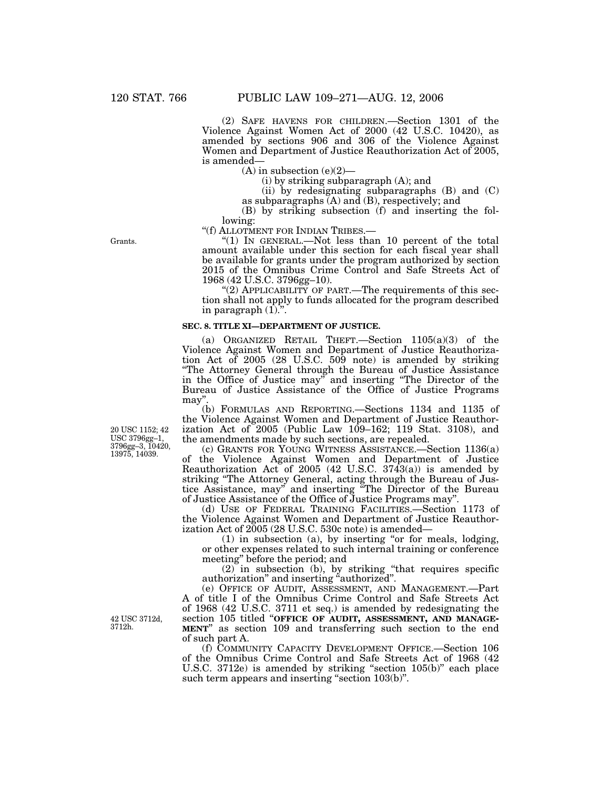(2) SAFE HAVENS FOR CHILDREN.—Section 1301 of the Violence Against Women Act of 2000 (42 U.S.C. 10420), as amended by sections 906 and 306 of the Violence Against Women and Department of Justice Reauthorization Act of 2005, is amended—

 $(A)$  in subsection  $(e)(2)$ —

(i) by striking subparagraph (A); and

(ii) by redesignating subparagraphs (B) and (C)

as subparagraphs  $(A)$  and  $(B)$ , respectively; and

(B) by striking subsection (f) and inserting the following:<br>"(f) ALLOTMENT FOR INDIAN TRIBES.-

" $(1)$  In GENERAL.—Not less than 10 percent of the total amount available under this section for each fiscal year shall be available for grants under the program authorized by section 2015 of the Omnibus Crime Control and Safe Streets Act of 1968 (42 U.S.C. 3796gg–10).

"(2) APPLICABILITY OF PART.—The requirements of this section shall not apply to funds allocated for the program described in paragraph  $(1)$ .".

### **SEC. 8. TITLE XI—DEPARTMENT OF JUSTICE.**

(a) ORGANIZED RETAIL THEFT.—Section 1105(a)(3) of the Violence Against Women and Department of Justice Reauthorization Act of 2005 (28 U.S.C. 509 note) is amended by striking ''The Attorney General through the Bureau of Justice Assistance in the Office of Justice may" and inserting "The Director of the Bureau of Justice Assistance of the Office of Justice Programs may''.

(b) FORMULAS AND REPORTING.—Sections 1134 and 1135 of the Violence Against Women and Department of Justice Reauthorization Act of 2005 (Public Law 109–162; 119 Stat. 3108), and the amendments made by such sections, are repealed.

(c) GRANTS FOR YOUNG WITNESS ASSISTANCE.—Section 1136(a) of the Violence Against Women and Department of Justice Reauthorization Act of 2005 (42 U.S.C. 3743(a)) is amended by striking ''The Attorney General, acting through the Bureau of Justice Assistance, may'' and inserting ''The Director of the Bureau of Justice Assistance of the Office of Justice Programs may''.

(d) USE OF FEDERAL TRAINING FACILITIES.—Section 1173 of the Violence Against Women and Department of Justice Reauthorization Act of 2005 (28 U.S.C. 530c note) is amended—

(1) in subsection (a), by inserting ''or for meals, lodging, or other expenses related to such internal training or conference meeting'' before the period; and

(2) in subsection (b), by striking ''that requires specific authorization'' and inserting ''authorized''.

(e) OFFICE OF AUDIT, ASSESSMENT, AND MANAGEMENT.—Part A of title I of the Omnibus Crime Control and Safe Streets Act of 1968 (42 U.S.C. 3711 et seq.) is amended by redesignating the section 105 titled ''**OFFICE OF AUDIT, ASSESSMENT, AND MANAGE- MENT**'' as section 109 and transferring such section to the end of such part A.

(f) COMMUNITY CAPACITY DEVELOPMENT OFFICE.—Section 106 of the Omnibus Crime Control and Safe Streets Act of 1968 (42 U.S.C. 3712e) is amended by striking "section 105(b)" each place such term appears and inserting "section 103(b)".

20 USC 1152; 42 USC 3796gg–1, 3796gg–3, 10420, 13975, 14039.

42 USC 3712d, 3712h.

Grants.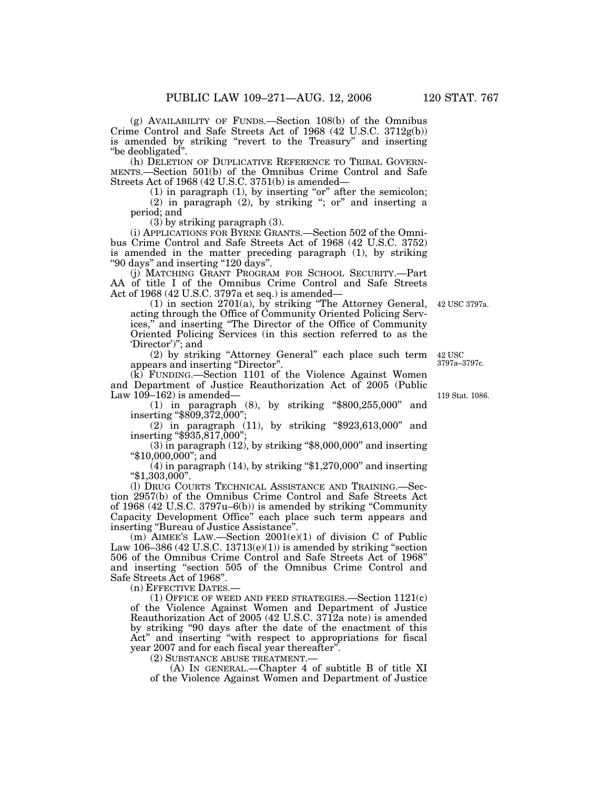(g) AVAILABILITY OF FUNDS.—Section 108(b) of the Omnibus Crime Control and Safe Streets Act of 1968 (42 U.S.C. 3712g(b)) is amended by striking "revert to the Treasury" and inserting ''be deobligated''.

(h) DELETION OF DUPLICATIVE REFERENCE TO TRIBAL GOVERN-MENTS.—Section 501(b) of the Omnibus Crime Control and Safe Streets Act of 1968 (42 U.S.C. 3751(b) is amended—

 $(1)$  in paragraph  $(1)$ , by inserting "or" after the semicolon;  $(2)$  in paragraph  $(2)$ , by striking "; or" and inserting a period; and

(3) by striking paragraph (3).

(i) APPLICATIONS FOR BYRNE GRANTS.—Section 502 of the Omnibus Crime Control and Safe Streets Act of 1968 (42 U.S.C. 3752) is amended in the matter preceding paragraph (1), by striking ''90 days'' and inserting ''120 days''.

(j) MATCHING GRANT PROGRAM FOR SCHOOL SECURITY.—Part AA of title I of the Omnibus Crime Control and Safe Streets Act of 1968 (42 U.S.C. 3797a et seq.) is amended—

(1) in section 2701(a), by striking ''The Attorney General, acting through the Office of Community Oriented Policing Services,'' and inserting ''The Director of the Office of Community Oriented Policing Services (in this section referred to as the 'Director')''; and

(2) by striking ''Attorney General'' each place such term appears and inserting ''Director''.

(k) FUNDING.—Section 1101 of the Violence Against Women and Department of Justice Reauthorization Act of 2005 (Public Law  $109-162$ ) is amended—

(1) in paragraph (8), by striking ''\$800,255,000'' and inserting "\$809,372,000"

(2) in paragraph (11), by striking ''\$923,613,000'' and inserting ''\$935,817,000'';

 $(3)$  in paragraph  $(12)$ , by striking "\$8,000,000" and inserting ''\$10,000,000''; and

 $(4)$  in paragraph  $(14)$ , by striking "\$1,270,000" and inserting  $" $1,303,000"$ .

(l) DRUG COURTS TECHNICAL ASSISTANCE AND TRAINING.—Section 2957(b) of the Omnibus Crime Control and Safe Streets Act of 1968 (42 U.S.C. 3797u–6(b)) is amended by striking ''Community Capacity Development Office'' each place such term appears and inserting ''Bureau of Justice Assistance''.

(m) AIMEE'S LAW.—Section 2001(e)(1) of division C of Public Law 106–386 (42 U.S.C. 13713( $e$ )(1)) is amended by striking "section 506 of the Omnibus Crime Control and Safe Streets Act of 1968'' and inserting ''section 505 of the Omnibus Crime Control and Safe Streets Act of 1968''.

(n) EFFECTIVE DATES.—

 $(1)$  OFFICE OF WEED AND FEED STRATEGIES.—Section  $1121(c)$ of the Violence Against Women and Department of Justice Reauthorization Act of 2005 (42 U.S.C. 3712a note) is amended by striking ''90 days after the date of the enactment of this Act" and inserting "with respect to appropriations for fiscal year 2007 and for each fiscal year thereafter''.

(2) SUBSTANCE ABUSE TREATMENT.—

(A) IN GENERAL.—Chapter 4 of subtitle B of title XI of the Violence Against Women and Department of Justice

119 Stat. 1086.

42 USC 3797a–3797c.

42 USC 3797a.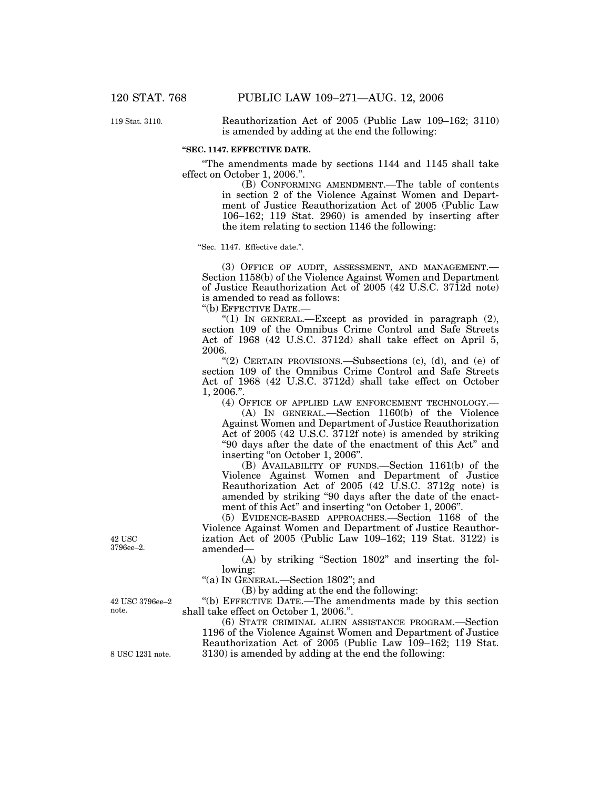119 Stat. 3110.

Reauthorization Act of 2005 (Public Law 109–162; 3110) is amended by adding at the end the following:

### **''SEC. 1147. EFFECTIVE DATE.**

The amendments made by sections 1144 and 1145 shall take effect on October 1, 2006.''.

(B) CONFORMING AMENDMENT.—The table of contents in section 2 of the Violence Against Women and Department of Justice Reauthorization Act of 2005 (Public Law 106–162; 119 Stat. 2960) is amended by inserting after the item relating to section 1146 the following:

''Sec. 1147. Effective date.''.

(3) OFFICE OF AUDIT, ASSESSMENT, AND MANAGEMENT.— Section 1158(b) of the Violence Against Women and Department of Justice Reauthorization Act of 2005 (42 U.S.C. 3712d note) is amended to read as follows:

''(b) EFFECTIVE DATE.—

''(1) IN GENERAL.—Except as provided in paragraph (2), section 109 of the Omnibus Crime Control and Safe Streets Act of 1968 (42 U.S.C. 3712d) shall take effect on April 5, 2006.

''(2) CERTAIN PROVISIONS.—Subsections (c), (d), and (e) of section 109 of the Omnibus Crime Control and Safe Streets Act of 1968 (42 U.S.C. 3712d) shall take effect on October 1, 2006.''.

(4) OFFICE OF APPLIED LAW ENFORCEMENT TECHNOLOGY.—

(A) IN GENERAL.—Section 1160(b) of the Violence Against Women and Department of Justice Reauthorization Act of 2005 (42 U.S.C. 3712f note) is amended by striking ''90 days after the date of the enactment of this Act'' and inserting "on October 1, 2006".

(B) AVAILABILITY OF FUNDS.—Section 1161(b) of the Violence Against Women and Department of Justice Reauthorization Act of 2005 (42 U.S.C. 3712g note) is amended by striking ''90 days after the date of the enactment of this Act" and inserting "on October 1, 2006".

(5) EVIDENCE-BASED APPROACHES.—Section 1168 of the Violence Against Women and Department of Justice Reauthorization Act of 2005 (Public Law 109–162; 119 Stat. 3122) is amended—

(A) by striking ''Section 1802'' and inserting the following:

''(a) IN GENERAL.—Section 1802''; and

(B) by adding at the end the following:

''(b) EFFECTIVE DATE.—The amendments made by this section shall take effect on October 1, 2006.''.

(6) STATE CRIMINAL ALIEN ASSISTANCE PROGRAM.—Section 1196 of the Violence Against Women and Department of Justice Reauthorization Act of 2005 (Public Law 109–162; 119 Stat. 8 USC 1231 note. 3130) is amended by adding at the end the following:

42 USC 3796ee–2.

note.

42 USC 3796ee–2